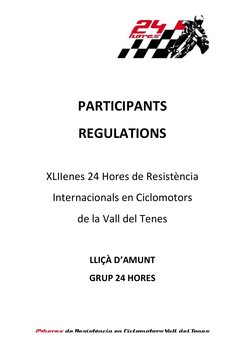

# **PARTICIPANTS REGULATIONS**

# XLIIenes 24 Hores de Resistència Internacionals en Ciclomotors de la Vall del Tenes

**LLIÇÀ D'AMUNT GRUP 24 HORES**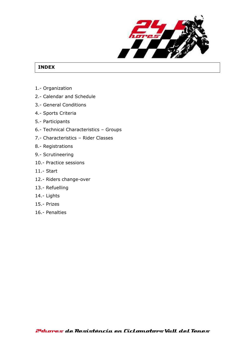

# **INDEX**

- 1.- Organization
- 2.- Calendar and Schedule
- 3.- General Conditions
- 4.- Sports Criteria
- 5.- Participants
- 6.- Technical Characteristics Groups
- 7.- Characteristics Rider Classes
- 8.- Registrations
- 9.- Scrutineering
- 10.- Practice sessions
- 11.- Start
- 12.- Riders change-over
- 13.- Refuelling
- 14.- Lights
- 15.- Prizes
- 16.- Penalties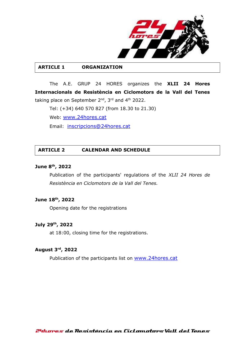

#### **ARTICLE 1 ORGANIZATION**

The A.E. GRUP 24 HORES organizes the **XLII 24 Hores Internacionals de Resistència en Ciclomotors de la Vall del Tenes**  taking place on September 2<sup>nd</sup>, 3<sup>rd</sup> and 4<sup>th</sup> 2022.

Tel: (+34) 640 570 827 (from 18.30 to 21.30)

Web: [www.24hores.cat](http://www.24hores.cat/)

Email: [inscripcions@24hores.cat](mailto:inscripcions@24hores.cat)

## **ARTICLE 2 CALENDAR AND SCHEDULE**

#### **June 8th , 2022**

Publication of the participants' regulations of the *XLII 24 Hores de Resistència en Ciclomotors de la Vall del Tenes.*

#### **June 18 th , 2022**

Opening date for the registrations

#### **July 29th , 2022**

at 18:00, closing time for the registrations.

#### **August 3 rd , 2022**

Publication of the participants list on [www.24hores.cat](http://www.24hores.cat/)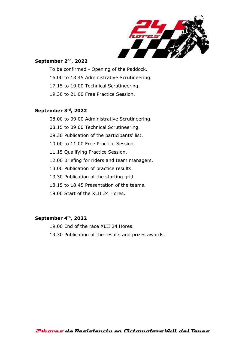

#### **September 2 nd , 2022**

- To be confirmed Opening of the Paddock.
- 16.00 to 18.45 Administrative Scrutineering.
- 17.15 to 19.00 Technical Scrutineering.
- 19.30 to 21.00 Free Practice Session.

#### **September 3 rd , 2022**

08.00 to 09.00 Administrative Scrutineering.

- 08.15 to 09.00 Technical Scrutineering.
- 09.30 Publication of the participants' list.
- 10.00 to 11.00 Free Practice Session.
- 11.15 Qualifying Practice Session.
- 12.00 Briefing for riders and team managers.
- 13.00 Publication of practice results.
- 13.30 Publication of the starting grid.
- 18.15 to 18.45 Presentation of the teams.
- 19.00 Start of the XLII 24 Hores.

#### **September 4 th , 2022**

19.00 End of the race XLII 24 Hores.

19.30 Publication of the results and prizes awards.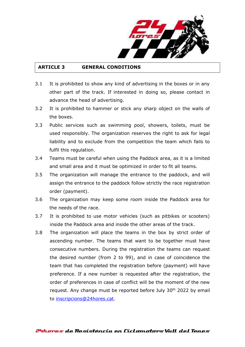

## **ARTICLE 3 GENERAL CONDITIONS**

- 3.1 It is prohibited to show any kind of advertising in the boxes or in any other part of the track. If interested in doing so, please contact in advance the head of advertising.
- 3.2 It is prohibited to hammer or stick any sharp object on the walls of the boxes.
- 3.3 Public services such as swimming pool, showers, toilets, must be used responsibly. The organization reserves the right to ask for legal liability and to exclude from the competition the team which fails to fulfil this regulation.
- 3.4 Teams must be careful when using the Paddock area, as it is a limited and small area and it must be optimized in order to fit all teams.
- 3.5 The organization will manage the entrance to the paddock, and will assign the entrance to the paddock follow strictly the race registration order (payment).
- 3.6 The organization may keep some room inside the Paddock area for the needs of the race.
- 3.7 It is prohibited to use motor vehicles (such as pitbikes or scooters) inside the Paddock area and inside the other areas of the track.
- 3.8 The organization will place the teams in the box by strict order of ascending number. The teams that want to be together must have consecutive numbers. During the registration the teams can request the desired number (from 2 to 99), and in case of coincidence the team that has completed the registration before (payment) will have preference. If a new number is requested after the registration, the order of preferences in case of conflict will be the moment of the new request. Any change must be reported before July 30<sup>th</sup> 2022 by email to [inscripcions@24hores.cat.](mailto:inscripcions@24hores.cat)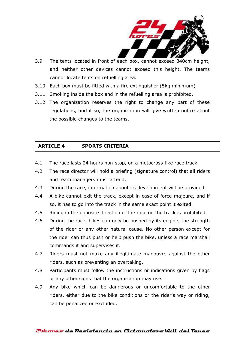

- 3.9 The tents located in front of each box, cannot exceed 340cm height, and neither other devices cannot exceed this height. The teams cannot locate tents on refuelling area.
- 3.10 Each box must be fitted with a fire extinguisher (5kg minimum)
- 3.11 Smoking inside the box and in the refuelling area is prohibited.
- 3.12 The organization reserves the right to change any part of these regulations, and if so, the organization will give written notice about the possible changes to the teams.

# **ARTICLE 4 SPORTS CRITERIA**

- 4.1 The race lasts 24 hours non-stop, on a motocross-like race track.
- 4.2 The race director will hold a briefing (signature control) that all riders and team managers must attend.
- 4.3 During the race, information about its development will be provided.
- 4.4 A bike cannot exit the track, except in case of force majeure, and if so, it has to go into the track in the same exact point it exited.
- 4.5 Riding in the opposite direction of the race on the track is prohibited.
- 4.6 During the race, bikes can only be pushed by its engine, the strength of the rider or any other natural cause. No other person except for the rider can thus push or help push the bike, unless a race marshall commands it and supervises it.
- 4.7 Riders must not make any illegitimate manouvre against the other riders, such as preventing an overtaking.
- 4.8 Participants must follow the instructions or indications given by flags or any other signs that the organization may use.
- 4.9 Any bike which can be dangerous or uncomfortable to the other riders, either due to the bike conditions or the rider's way or riding, can be penalized or excluded.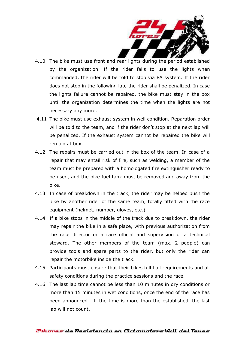

- 4.10 The bike must use front and rear lights during the period established by the organization. If the rider fails to use the lights when commanded, the rider will be told to stop via PA system. If the rider does not stop in the following lap, the rider shall be penalized. In case the lights failure cannot be repaired, the bike must stay in the box until the organization determines the time when the lights are not necessary any more.
- 4.11 The bike must use exhaust system in well condition. Reparation order will be told to the team, and if the rider don't stop at the next lap will be penalized. If the exhaust system cannot be repaired the bike will remain at box.
- 4.12 The repairs must be carried out in the box of the team. In case of a repair that may entail risk of fire, such as welding, a member of the team must be prepared with a homologated fire extinguisher ready to be used, and the bike fuel tank must be removed and away from the bike.
- 4.13 In case of breakdown in the track, the rider may be helped push the bike by another rider of the same team, totally fitted with the race equipment (helmet, number, gloves, etc.)
- 4.14 If a bike stops in the middle of the track due to breakdown, the rider may repair the bike in a safe place, with previous authorization from the race director or a race official and supervision of a technical steward. The other members of the team (max. 2 people) can provide tools and spare parts to the rider, but only the rider can repair the motorbike inside the track.
- 4.15 Participants must ensure that their bikes fulfil all requirements and all safety conditions during the practice sessions and the race.
- 4.16 The last lap time cannot be less than 10 minutes in dry conditions or more than 15 minutes in wet conditions, once the end of the race has been announced. If the time is more than the established, the last lap will not count.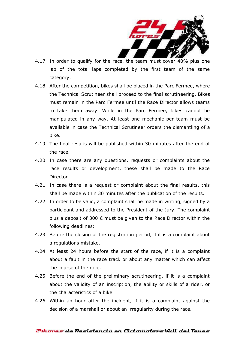

- 4.17 In order to qualify for the race, the team must cover 40% plus one lap of the total laps completed by the first team of the same category.
- 4.18 After the competition, bikes shall be placed in the Parc Fermee, where the Technical Scrutineer shall proceed to the final scrutineering. Bikes must remain in the Parc Fermee until the Race Director allows teams to take them away. While in the Parc Fermee, bikes cannot be manipulated in any way. At least one mechanic per team must be available in case the Technical Scrutineer orders the dismantling of a bike.
- 4.19 The final results will be published within 30 minutes after the end of the race.
- 4.20 In case there are any questions, requests or complaints about the race results or development, these shall be made to the Race Director.
- 4.21 In case there is a request or complaint about the final results, this shall be made within 30 minutes after the publication of the results.
- 4.22 In order to be valid, a complaint shall be made in writing, signed by a participant and addressed to the President of the Jury. The complaint plus a deposit of 300  $\epsilon$  must be given to the Race Director within the following deadlines:
- 4.23 Before the closing of the registration period, if it is a complaint about a regulations mistake.
- 4.24 At least 24 hours before the start of the race, if it is a complaint about a fault in the race track or about any matter which can affect the course of the race.
- 4.25 Before the end of the preliminary scrutineering, if it is a complaint about the validity of an inscription, the ability or skills of a rider, or the characteristics of a bike.
- 4.26 Within an hour after the incident, if it is a complaint against the decision of a marshall or about an irregularity during the race.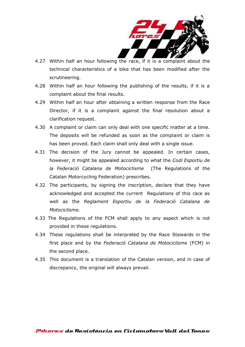

- 4.27 Within half an hour following the race, if it is a complaint about the technical characteristics of a bike that has been modified after the scrutineering.
- 4.28 Within half an hour following the publishing of the results, if it is a complaint about the final results.
- 4.29 Within half an hour after obtaining a written response from the Race Director, if it is a complaint against the final resolution about a clarification request.
- 4.30 A complaint or claim can only deal with one specific matter at a time. The deposits will be refunded as soon as the complaint or claim is has been proved. Each claim shall only deal with a single issue.
- 4.31 The decision of the Jury cannot be appealed. In certain cases, however, it might be appealed according to what the *Codi Esportiu de la Federació Catalana de Motociclisme* (The Regulations of the Catalan Motorcycling Federation) prescribes.
- 4.32 The participants, by signing the inscription, declare that they have acknowledged and accepted the current Regulations of this race as well as the *Reglament Esportiu de la Federació Catalana de Motociclisme.*
- 4.33 The Regulations of the FCM shall apply to any aspect which is not provided in these regulations.
- 4.34 These regulations shall be interpreted by the Race Stewards in the first place and by the *Federació Catalana de Motociclisme* (FCM) in the second place.
- 4.35 This document is a translation of the Catalan version, and in case of discrepancy, the original will always prevail.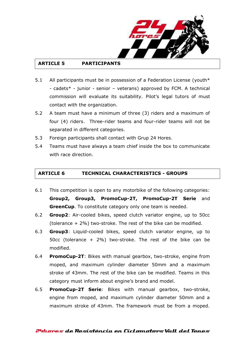

# **ARTICLE 5 PARTICIPANTS**

- 5.1 All participants must be in possession of a Federation License (youth $*$ - cadets\* - junior - senior – veterans) approved by FCM. A technical commission will evaluate its suitability. Pilot's legal tutors of must contact with the organization.
- 5.2 A team must have a minimum of three (3) riders and a maximum of four (4) riders. Three-rider teams and four-rider teams will not be separated in different categories.
- 5.3 Foreign participants shall contact with Grup 24 Hores.
- 5.4 Teams must have always a team chief inside the box to communicate with race direction.

# **ARTICLE 6 TECHNICAL CHARACTERISTICS - GROUPS**

- 6.1 This competition is open to any motorbike of the following categories: **Group2, Group3, PromoCup-2T, PromoCup-2T Serie** and **GreenCup**. To constitute category only one team is needed.
- 6.2 **Group2**: Air-cooled bikes, speed clutch variator engine, up to 50cc (tolerance + 2%) two-stroke. The rest of the bike can be modified.
- 6.3 **Group3**: Liquid-cooled bikes, speed clutch variator engine, up to 50cc (tolerance + 2%) two-stroke. The rest of the bike can be modified.
- 6.4 **PromoCup-2T**: Bikes with manual gearbox, two-stroke, engine from moped, and maximum cylinder diameter 50mm and a maximum stroke of 43mm. The rest of the bike can be modified. Teams in this category must inform about engine's brand and model.
- 6.5 **PromoCup-2T Serie**: Bikes with manual gearbox, two-stroke, engine from moped, and maximum cylinder diameter 50mm and a maximum stroke of 43mm. The framework must be from a moped.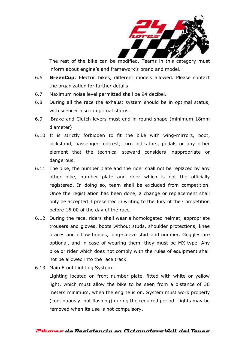

The rest of the bike can be modified. Teams in this category must inform about engine's and framework's brand and model.

- 6.6 **GreenCup**: Electric bikes, different models allowed. Please contact the organization for further details.
- 6.7 Maximum noise level permitted shall be 94 decibel.
- 6.8 During all the race the exhaust system should be in optimal status, with silencer also in optimal status.
- 6.9 Brake and Clutch levers must end in round shape (minimum 18mm diameter)
- 6.10 It is strictly forbidden to fit the bike with wing-mirrors, boot, kickstand, passenger footrest, turn indicators, pedals or any other element that the technical steward considers inappropriate or dangerous.
- 6.11 The bike, the number plate and the rider shall not be replaced by any other bike, number plate and rider which is not the officially registered. In doing so, team shall be excluded from competition. Once the registration has been done, a change or replacement shall only be accepted if presented in writing to the Jury of the Competition before 16.00 of the day of the race.
- 6.12 During the race, riders shall wear a homologated helmet, appropriate trousers and gloves, boots without studs, shoulder protections, knee braces and elbow braces, long-sleeve shirt and number. Goggles are optional, and in case of wearing them, they must be MX-type. Any bike or rider which does not comply with the rules of equipment shall not be allowed into the race track.
- 6.13 Main Front Lighting System:

Lighting located on front number plate, fitted with white or yellow light, which must allow the bike to be seen from a distance of 30 meters minimum, when the engine is on. System must work properly (continuously, not flashing) during the required period. Lights may be removed when its use is not compulsory.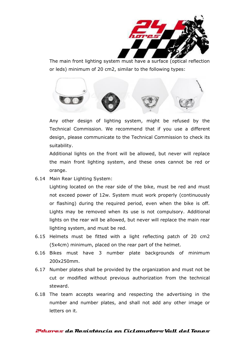

The main front lighting system must have a surface (optical reflection or leds) minimum of 20 cm2, similar to the following types:



Any other design of lighting system, might be refused by the Technical Commission. We recommend that if you use a different design, please communicate to the Technical Commission to check its suitability.

Additional lights on the front will be allowed, but never will replace the main front lighting system, and these ones cannot be red or orange.

6.14 Main Rear Lighting System:

Lighting located on the rear side of the bike, must be red and must not exceed power of 12w. System must work properly (continuously or flashing) during the required period, even when the bike is off. Lights may be removed when its use is not compulsory. Additional lights on the rear will be allowed, but never will replace the main rear lighting system, and must be red.

- 6.15 Helmets must be fitted with a light reflecting patch of 20 cm2 (5x4cm) minimum, placed on the rear part of the helmet.
- 6.16 Bikes must have 3 number plate backgrounds of minimum 200x250mm.
- 6.17 Number plates shall be provided by the organization and must not be cut or modified without previous authorization from the technical steward.
- 6.18 The team accepts wearing and respecting the advertising in the number and number plates, and shall not add any other image or letters on it.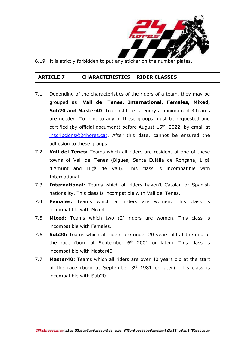

6.19 It is strictly forbidden to put any sticker on the number plates.

#### **ARTICLE 7 CHARACTERISTICS – RIDER CLASSES**

- 7.1 Depending of the characteristics of the riders of a team, they may be grouped as: **Vall del Tenes, International, Females, Mixed, Sub20 and Master40**. To constitute category a minimum of 3 teams are needed. To joint to any of these groups must be requested and certified (by official document) before August 15<sup>th</sup>, 2022, by email at [inscripcions@24hores.cat.](mailto:inscripcions@24hores.cat) After this date, cannot be ensured the adhesion to these groups.
- 7.2 **Vall del Tenes:** Teams which all riders are resident of one of these towns of Vall del Tenes (Bigues, Santa Eulàlia de Ronçana, Lliçà d'Amunt and Lliçà de Vall). This class is incompatible with International.
- 7.3 **International:** Teams which all riders haven't Catalan or Spanish nationality. This class is incompatible with Vall del Tenes.
- 7.4 **Females:** Teams which all riders are women. This class is incompatible with Mixed.
- 7.5 **Mixed:** Teams which two (2) riders are women. This class is incompatible with Females.
- 7.6 **Sub20:** Teams which all riders are under 20 years old at the end of the race (born at September  $6<sup>th</sup>$  2001 or later). This class is incompatible with Master40.
- 7.7 **Master40:** Teams which all riders are over 40 years old at the start of the race (born at September 3<sup>rd</sup> 1981 or later). This class is incompatible with Sub20.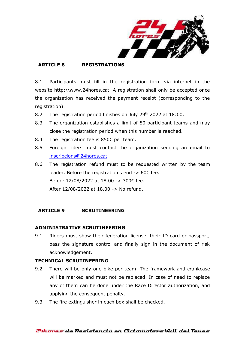

# **ARTICLE 8 REGISTRATIONS**

8.1 Participants must fill in the registration form via internet in the website http:\\www.24hores.cat. A registration shall only be accepted once the organization has received the payment receipt (corresponding to the registration).

- 8.2 The registration period finishes on July 29<sup>th</sup> 2022 at 18:00.
- 8.3 The organization establishes a limit of 50 participant teams and may close the registration period when this number is reached.
- 8.4 The registration fee is 850€ per team.
- 8.5 Foreign riders must contact the organization sending an email to [inscripcions@24hores.cat](mailto:inscripcions@24hores.cat)
- 8.6 The registration refund must to be requested written by the team leader. Before the registration's end  $-$  60 $\epsilon$  fee. Before 12/08/2022 at 18.00 -> 300€ fee. After 12/08/2022 at 18.00 -> No refund.

# **ARTICLE 9 SCRUTINEERING**

#### **ADMINISTRATIVE SCRUTINEERING**

9.1 Riders must show their federation license, their ID card or passport, pass the signature control and finally sign in the document of risk acknowledgement.

# **TECHNICAL SCRUTINEERING**

- 9.2 There will be only one bike per team. The framework and crankcase will be marked and must not be replaced. In case of need to replace any of them can be done under the Race Director authorization, and applying the consequent penalty.
- 9.3 The fire extinguisher in each box shall be checked.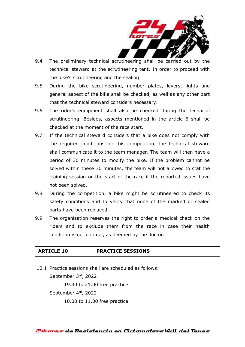

- 9.4 The preliminary technical scrutineering shall be carried out by the technical steward at the scrutineering tent. In order to proceed with the bike's scrutineering and the sealing.
- 9.5 During the bike scrutineering, number plates, levers, lights and general aspect of the bike shall be checked, as well as any other part that the technical steward considers necessary.
- 9.6 The rider's equipment shall also be checked during the technical scrutineering. Besides, aspects mentioned in the article 6 shall be checked at the moment of the race start.
- 9.7 If the technical steward considers that a bike does not comply with the required conditions for this competition, the technical steward shall communicate it to the team manager. The team will then have a period of 30 minutes to modify the bike. If the problem cannot be solved within these 30 minutes, the team will not allowed to stat the training session or the start of the race if the reported issues have not been solved.
- 9.8 During the competition, a bike might be scrutineered to check its safety conditions and to verify that none of the marked or sealed parts have been replaced.
- 9.9 The organization reserves the right to order a medical check on the riders and to exclude them from the race in case their health condition is not optimal, as deemed by the doctor.

#### **ARTICLE 10 PRACTICE SESSIONS**

10.1 Practice sessions shall are scheduled as follows: September 3rd, 2022 19.30 to 21.00 free practice September 4<sup>th</sup>, 2022 10.00 to 11.00 free practice.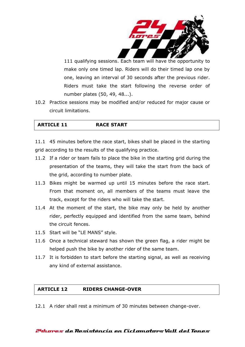

111 qualifying sessions. Each team will have the opportunity to make only one timed lap. Riders will do their timed lap one by one, leaving an interval of 30 seconds after the previous rider. Riders must take the start following the reverse order of number plates (50, 49, 48...).

10.2 Practice sessions may be modified and/or reduced for major cause or circuit limitations.

| <b>RACE START</b><br><b>ARTICLE 11</b> |
|----------------------------------------|
|----------------------------------------|

11.1 45 minutes before the race start, bikes shall be placed in the starting grid according to the results of the qualifying practice.

- 11.2 If a rider or team fails to place the bike in the starting grid during the presentation of the teams, they will take the start from the back of the grid, according to number plate.
- 11.3 Bikes might be warmed up until 15 minutes before the race start. From that moment on, all members of the teams must leave the track, except for the riders who will take the start.
- 11.4 At the moment of the start, the bike may only be held by another rider, perfectly equipped and identified from the same team, behind the circuit fences.
- 11.5 Start will be "LE MANS" style.
- 11.6 Once a technical steward has shown the green flag, a rider might be helped push the bike by another rider of the same team.
- 11.7 It is forbidden to start before the starting signal, as well as receiving any kind of external assistance.

# **ARTICLE 12 RIDERS CHANGE-OVER**

12.1 A rider shall rest a minimum of 30 minutes between change-over.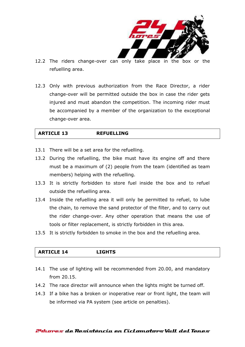

- 12.2 The riders change-over can only take place in the box or the refuelling area.
- 12.3 Only with previous authorization from the Race Director, a rider change-over will be permitted outside the box in case the rider gets injured and must abandon the competition. The incoming rider must be accompanied by a member of the organization to the exceptional change-over area.

## **ARTICLE 13 REFUELLING**

- 13.1 There will be a set area for the refuelling.
- 13.2 During the refuelling, the bike must have its engine off and there must be a maximum of (2) people from the team (identified as team members) helping with the refuelling.
- 13.3 It is strictly forbidden to store fuel inside the box and to refuel outside the refuelling area.
- 13.4 Inside the refuelling area it will only be permitted to refuel, to lube the chain, to remove the sand protector of the filter, and to carry out the rider change-over. Any other operation that means the use of tools or filter replacement, is strictly forbidden in this area.
- 13.5 It is strictly forbidden to smoke in the box and the refuelling area.

# **ARTICLE 14 LIGHTS**

- 14.1 The use of lighting will be recommended from 20.00, and mandatory from 20.15.
- 14.2 The race director will announce when the lights might be turned off.
- 14.3 If a bike has a broken or inoperative rear or front light, the team will be informed via PA system (see article on penalties).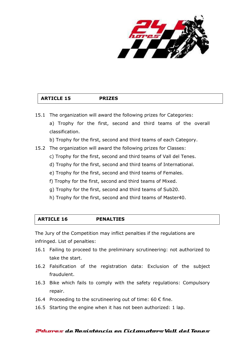

# **ARTICLE 15 PRIZES**

15.1 The organization will award the following prizes for Categories: a) Trophy for the first, second and third teams of the overall classification.

b) Trophy for the first, second and third teams of each Category.

- 15.2 The organization will award the following prizes for Classes:
	- c) Trophy for the first, second and third teams of Vall del Tenes.
	- d) Trophy for the first, second and third teams of International.
	- e) Trophy for the first, second and third teams of Females.
	- f) Trophy for the first, second and third teams of Mixed.
	- g) Trophy for the first, second and third teams of Sub20.
	- h) Trophy for the first, second and third teams of Master40.

| <b>ARTICLE 16</b> | <b>PENALTIES</b> |  |
|-------------------|------------------|--|
|                   |                  |  |

The Jury of the Competition may inflict penalties if the regulations are infringed. List of penalties:

- 16.1 Failing to proceed to the preliminary scrutineering: not authorized to take the start.
- 16.2 Falsification of the registration data: Exclusion of the subject fraudulent.
- 16.3 Bike which fails to comply with the safety regulations: Compulsory repair.
- 16.4 Proceeding to the scrutineering out of time: 60  $\epsilon$  fine.
- 16.5 Starting the engine when it has not been authorized: 1 lap.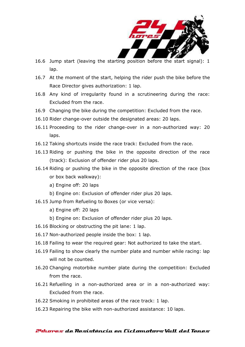

- 16.6 Jump start (leaving the starting position before the start signal): 1 lap.
- 16.7 At the moment of the start, helping the rider push the bike before the Race Director gives authorization: 1 lap.
- 16.8 Any kind of irregularity found in a scrutineering during the race: Excluded from the race.
- 16.9 Changing the bike during the competition: Excluded from the race.
- 16.10 Rider change-over outside the designated areas: 20 laps.
- 16.11 Proceeding to the rider change-over in a non-authorized way: 20 laps.
- 16.12 Taking shortcuts inside the race track: Excluded from the race.
- 16.13 Riding or pushing the bike in the opposite direction of the race (track): Exclusion of offender rider plus 20 laps.
- 16.14 Riding or pushing the bike in the opposite direction of the race (box or box back walkway):
	- a) Engine off: 20 laps
	- b) Engine on: Exclusion of offender rider plus 20 laps.
- 16.15 Jump from Refueling to Boxes (or vice versa):
	- a) Engine off: 20 laps
	- b) Engine on: Exclusion of offender rider plus 20 laps.
- 16.16 Blocking or obstructing the pit lane: 1 lap.
- 16.17 Non-authorized people inside the box: 1 lap.
- 16.18 Failing to wear the required gear: Not authorized to take the start.
- 16.19 Failing to show clearly the number plate and number while racing: lap will not be counted.
- 16.20 Changing motorbike number plate during the competition: Excluded from the race.
- 16.21 Refuelling in a non-authorized area or in a non-authorized way: Excluded from the race.
- 16.22 Smoking in prohibited areas of the race track: 1 lap.
- 16.23 Repairing the bike with non-authorized assistance: 10 laps.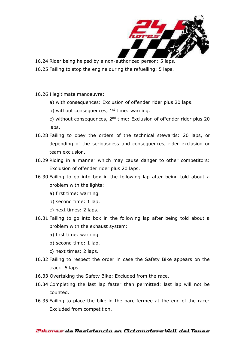

- 16.24 Rider being helped by a non-authorized person: 5 laps.
- 16.25 Failing to stop the engine during the refuelling: 5 laps.
- 16.26 Illegitimate manoeuvre:
	- a) with consequences: Exclusion of offender rider plus 20 laps.
	- b) without consequences,  $1<sup>st</sup>$  time: warning.

c) without consequences,  $2^{nd}$  time: Exclusion of offender rider plus 20 laps.

- 16.28 Failing to obey the orders of the technical stewards: 20 laps, or depending of the seriousness and consequences, rider exclusion or team exclusion.
- 16.29 Riding in a manner which may cause danger to other competitors: Exclusion of offender rider plus 20 laps.
- 16.30 Failing to go into box in the following lap after being told about a problem with the lights:
	- a) first time: warning.
	- b) second time: 1 lap.
	- c) next times: 2 laps.
- 16.31 Failing to go into box in the following lap after being told about a problem with the exhaust system:
	- a) first time: warning.
	- b) second time: 1 lap.
	- c) next times: 2 laps.
- 16.32 Failing to respect the order in case the Safety Bike appears on the track: 5 laps.
- 16.33 Overtaking the Safety Bike: Excluded from the race.
- 16.34 Completing the last lap faster than permitted: last lap will not be counted.
- 16.35 Failing to place the bike in the parc fermee at the end of the race: Excluded from competition.